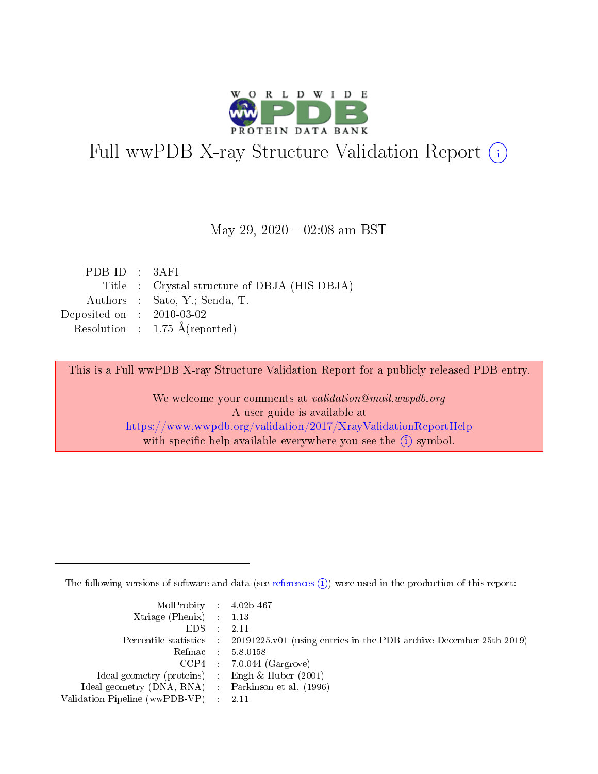

# Full wwPDB X-ray Structure Validation Report (i)

#### May 29,  $2020 - 02:08$  am BST

| PDBID : 3AFI                |                                              |
|-----------------------------|----------------------------------------------|
|                             | Title : Crystal structure of DBJA (HIS-DBJA) |
|                             | Authors : Sato, Y.; Senda, T.                |
| Deposited on : $2010-03-02$ |                                              |
|                             | Resolution : $1.75 \text{ Å}$ (reported)     |
|                             |                                              |

This is a Full wwPDB X-ray Structure Validation Report for a publicly released PDB entry.

We welcome your comments at validation@mail.wwpdb.org A user guide is available at <https://www.wwpdb.org/validation/2017/XrayValidationReportHelp> with specific help available everywhere you see the  $(i)$  symbol.

The following versions of software and data (see [references](https://www.wwpdb.org/validation/2017/XrayValidationReportHelp#references)  $(i)$ ) were used in the production of this report:

| $MolProbability$ 4.02b-467                          |                                                                                            |
|-----------------------------------------------------|--------------------------------------------------------------------------------------------|
| Xtriage (Phenix) $: 1.13$                           |                                                                                            |
| $EDS$ :                                             | -2.11                                                                                      |
|                                                     | Percentile statistics : 20191225.v01 (using entries in the PDB archive December 25th 2019) |
|                                                     | Refmac : 5.8.0158                                                                          |
|                                                     | $CCP4$ : 7.0.044 (Gargrove)                                                                |
| Ideal geometry (proteins) : Engh $\&$ Huber (2001)  |                                                                                            |
| Ideal geometry (DNA, RNA) : Parkinson et al. (1996) |                                                                                            |
| Validation Pipeline (wwPDB-VP)                      | -2.11                                                                                      |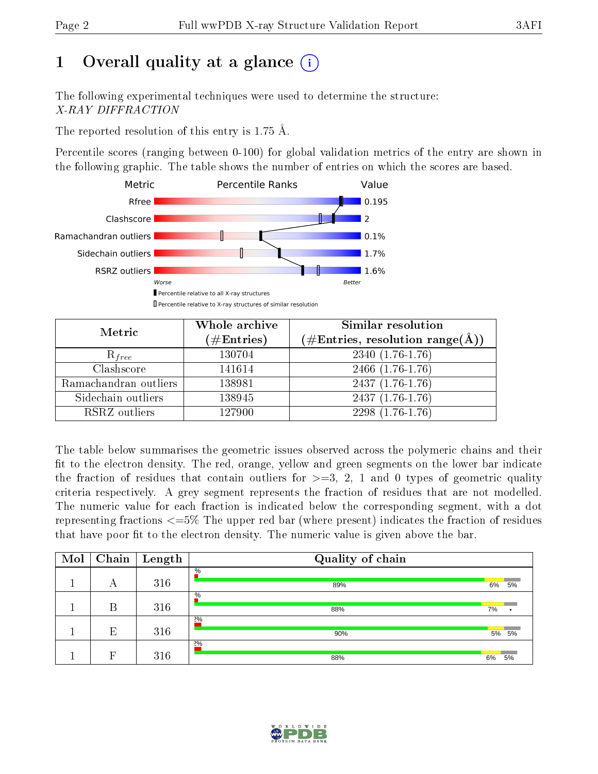# 1 [O](https://www.wwpdb.org/validation/2017/XrayValidationReportHelp#overall_quality)verall quality at a glance  $(i)$

The following experimental techniques were used to determine the structure: X-RAY DIFFRACTION

The reported resolution of this entry is 1.75 Å.

Percentile scores (ranging between 0-100) for global validation metrics of the entry are shown in the following graphic. The table shows the number of entries on which the scores are based.



| Metric                | Whole archive<br>$(\#\mathrm{Entries})$ | Similar resolution<br>$(\#\text{Entries}, \text{resolution range}(\text{\AA}))$ |  |  |
|-----------------------|-----------------------------------------|---------------------------------------------------------------------------------|--|--|
| $R_{free}$            | 130704                                  | $2340(1.76-1.76)$                                                               |  |  |
| Clashscore            | 141614                                  | 2466 (1.76-1.76)                                                                |  |  |
| Ramachandran outliers | 138981                                  | $2437(1.76-1.76)$                                                               |  |  |
| Sidechain outliers    | 138945                                  | 2437 (1.76-1.76)                                                                |  |  |
| RSRZ outliers         | 127900                                  | $2298(1.76-1.76)$                                                               |  |  |

The table below summarises the geometric issues observed across the polymeric chains and their fit to the electron density. The red, orange, yellow and green segments on the lower bar indicate the fraction of residues that contain outliers for  $>=3, 2, 1$  and 0 types of geometric quality criteria respectively. A grey segment represents the fraction of residues that are not modelled. The numeric value for each fraction is indicated below the corresponding segment, with a dot representing fractions  $\epsilon=5\%$  The upper red bar (where present) indicates the fraction of residues that have poor fit to the electron density. The numeric value is given above the bar.

| Mol | Chain | $\vert$ Length | Quality of chain     |    |       |
|-----|-------|----------------|----------------------|----|-------|
|     | А     | 316            | $\frac{0}{6}$<br>89% | 6% | 5%    |
|     | В     | 316            | $\%$<br>88%          | 7% |       |
|     | E     | 316            | 2%<br>90%            |    | 5% 5% |
|     | Р     | 316            | 2%<br>88%            | 6% | 5%    |

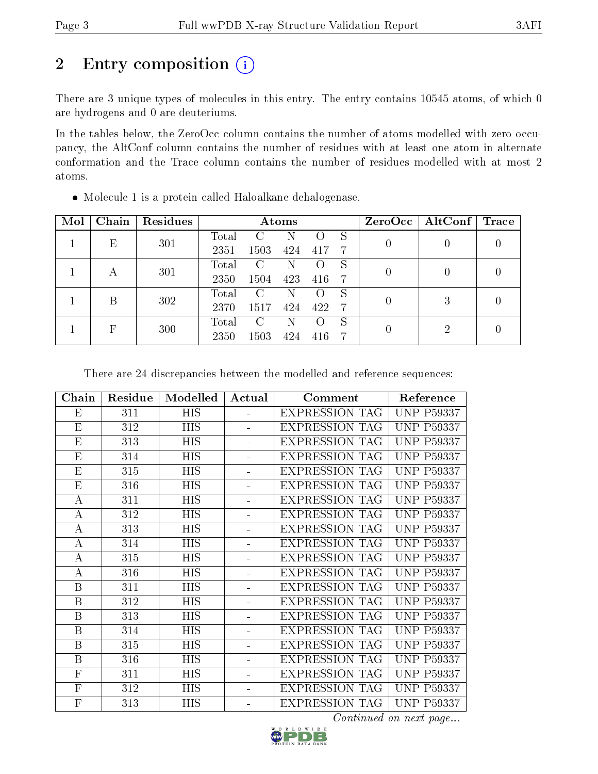# 2 Entry composition (i)

There are 3 unique types of molecules in this entry. The entry contains 10545 atoms, of which 0 are hydrogens and 0 are deuteriums.

In the tables below, the ZeroOcc column contains the number of atoms modelled with zero occupancy, the AltConf column contains the number of residues with at least one atom in alternate conformation and the Trace column contains the number of residues modelled with at most 2 atoms.

| Mol | Chain | Residues | Atoms |      |     |     |    | ZeroOcc | $\vert$ AltConf $\vert$ | $\operatorname{Trace}$ |
|-----|-------|----------|-------|------|-----|-----|----|---------|-------------------------|------------------------|
|     | E     | 301      | Total |      | N   |     | S  | 0       |                         |                        |
|     |       |          | 2351  | 1503 | 424 | 417 | -7 |         |                         |                        |
|     |       | 301      | Total | C    | Ν   |     | S  | 0       | 0                       |                        |
|     |       |          | 2350  | 1504 | 423 | 416 | -7 |         |                         |                        |
|     | B     | 302      | Total | C    | Ν   |     | S  | 0       | 3                       |                        |
|     |       | 2370     | 1517  | 424  | 422 | -7  |    |         |                         |                        |
|     | F     |          | Total | С    | Ν   |     | S  | 0       | 2                       |                        |
|     | 300   | 2350     | 1503  | 424  | 416 | 7   |    |         |                         |                        |

Molecule 1 is a protein called Haloalkane dehalogenase.

There are 24 discrepancies between the modelled and reference sequences:

| Chain                     | Residue | Modelled   | Actual                   | Comment               | Reference         |
|---------------------------|---------|------------|--------------------------|-----------------------|-------------------|
| $\boldsymbol{\mathrm{E}}$ | 311     | <b>HIS</b> | $\overline{a}$           | <b>EXPRESSION TAG</b> | <b>UNP P59337</b> |
| $\boldsymbol{\mathrm{E}}$ | 312     | <b>HIS</b> |                          | <b>EXPRESSION TAG</b> | <b>UNP P59337</b> |
| $\mathbf{E}% _{0}$        | 313     | <b>HIS</b> | $\overline{\phantom{0}}$ | <b>EXPRESSION TAG</b> | <b>UNP P59337</b> |
| Ε                         | 314     | <b>HIS</b> | $\blacksquare$           | <b>EXPRESSION TAG</b> | <b>UNP P59337</b> |
| E                         | 315     | <b>HIS</b> |                          | <b>EXPRESSION TAG</b> | <b>UNP P59337</b> |
| E                         | 316     | <b>HIS</b> | $\equiv$                 | <b>EXPRESSION TAG</b> | <b>UNP P59337</b> |
| А                         | 311     | <b>HIS</b> | $\blacksquare$           | <b>EXPRESSION TAG</b> | <b>UNP P59337</b> |
| $\boldsymbol{A}$          | 312     | HIS        | ÷.                       | <b>EXPRESSION TAG</b> | <b>UNP P59337</b> |
| $\bf{A}$                  | 313     | <b>HIS</b> | ÷.                       | <b>EXPRESSION TAG</b> | <b>UNP P59337</b> |
| А                         | 314     | <b>HIS</b> | $\overline{a}$           | <b>EXPRESSION TAG</b> | <b>UNP P59337</b> |
| A                         | 315     | <b>HIS</b> | ÷.                       | <b>EXPRESSION TAG</b> | <b>UNP P59337</b> |
| $\boldsymbol{A}$          | 316     | <b>HIS</b> | ÷.                       | <b>EXPRESSION TAG</b> | <b>UNP P59337</b> |
| B                         | 311     | <b>HIS</b> | $\overline{a}$           | <b>EXPRESSION TAG</b> | <b>UNP P59337</b> |
| $\boldsymbol{B}$          | 312     | <b>HIS</b> | $\overline{\phantom{0}}$ | <b>EXPRESSION TAG</b> | <b>UNP P59337</b> |
| $\boldsymbol{B}$          | 313     | <b>HIS</b> | ÷.                       | <b>EXPRESSION TAG</b> | <b>UNP P59337</b> |
| $\boldsymbol{B}$          | 314     | <b>HIS</b> |                          | <b>EXPRESSION TAG</b> | <b>UNP P59337</b> |
| $\boldsymbol{B}$          | 315     | <b>HIS</b> | ÷.                       | <b>EXPRESSION TAG</b> | <b>UNP P59337</b> |
| $\boldsymbol{B}$          | 316     | <b>HIS</b> | $\equiv$                 | <b>EXPRESSION TAG</b> | <b>UNP P59337</b> |
| ${\bf F}$                 | 311     | <b>HIS</b> | ÷.                       | <b>EXPRESSION TAG</b> | <b>UNP P59337</b> |
| $\overline{\mathrm{F}}$   | 312     | <b>HIS</b> | $\blacksquare$           | <b>EXPRESSION TAG</b> | <b>UNP P59337</b> |
| $\overline{F}$            | 313     | HIS        |                          | <b>EXPRESSION TAG</b> | <b>UNP P59337</b> |

Continued on next page...

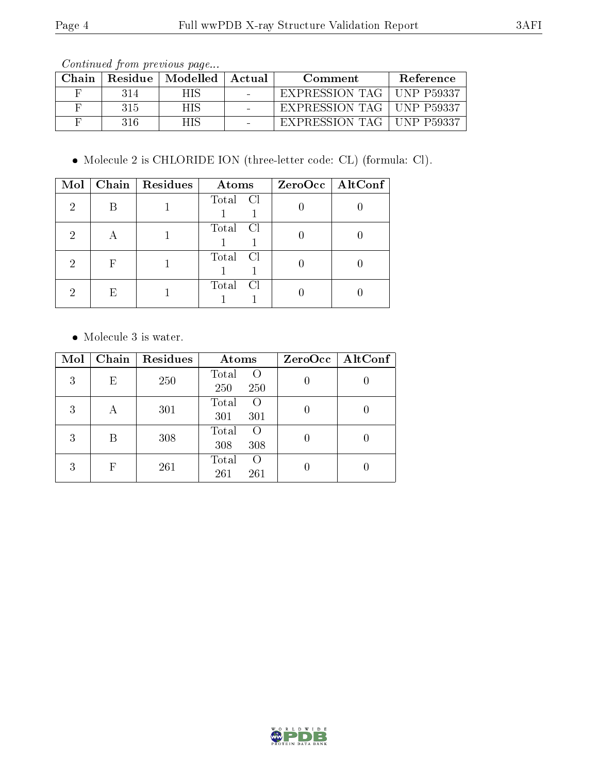Continued from previous page...

| Chain |     | Residue   Modelled | Actual | Comment                     | Reference  |
|-------|-----|--------------------|--------|-----------------------------|------------|
|       | 314 | H IS               |        | EXPRESSION TAG   UNP P59337 |            |
|       | 315 | HIS.               |        | EXPRESSION TAG   UNP P59337 |            |
|       | 316 |                    |        | EXPRESSION TAG              | UNP P59337 |

Molecule 2 is CHLORIDE ION (three-letter code: CL) (formula: Cl).

| Mol |   | Chain   $Residues$ | Atoms    | ZeroOcc   AltConf |
|-----|---|--------------------|----------|-------------------|
| 2   |   |                    | Total Cl |                   |
| 2   |   |                    | Total Cl |                   |
| 2   | F |                    | Total Cl |                   |
| 2   | E |                    | Total Cl |                   |

Molecule 3 is water.

| Mol | Chain      | Residues | Atoms                           | $ZeroOcc$   AltConf |
|-----|------------|----------|---------------------------------|---------------------|
| 3   | Ε          | 250      | Total<br>$\circ$<br>250<br>250  |                     |
| 3   | А          | 301      | Total<br>O<br>301<br>301        |                     |
| 3   | В          | 308      | Total<br>$\Omega$<br>308<br>308 |                     |
| 3   | $_{\rm F}$ | 261      | Total<br>$\Omega$<br>261<br>261 |                     |

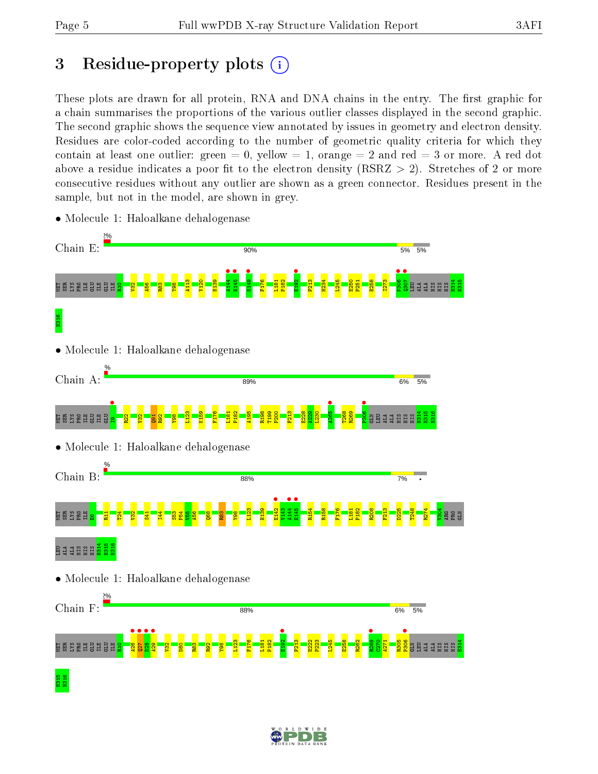# 3 Residue-property plots  $(i)$

These plots are drawn for all protein, RNA and DNA chains in the entry. The first graphic for a chain summarises the proportions of the various outlier classes displayed in the second graphic. The second graphic shows the sequence view annotated by issues in geometry and electron density. Residues are color-coded according to the number of geometric quality criteria for which they contain at least one outlier: green  $= 0$ , yellow  $= 1$ , orange  $= 2$  and red  $= 3$  or more. A red dot above a residue indicates a poor fit to the electron density (RSRZ  $> 2$ ). Stretches of 2 or more consecutive residues without any outlier are shown as a green connector. Residues present in the sample, but not in the model, are shown in grey.



• Molecule 1: Haloalkane dehalogenase

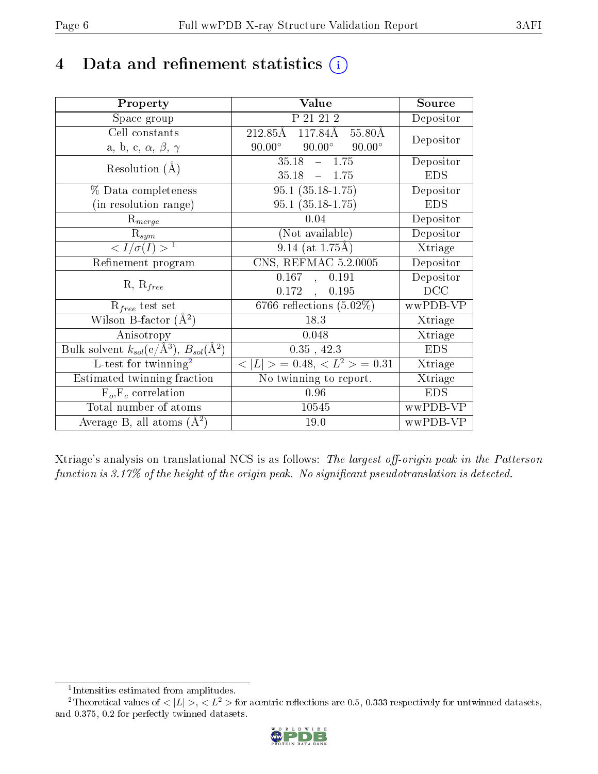# 4 Data and refinement statistics  $(i)$

| Property                                                         | Value                                              | Source     |
|------------------------------------------------------------------|----------------------------------------------------|------------|
| Space group                                                      | P 21 21 2                                          | Depositor  |
| Cell constants                                                   | $212.85\text{\AA}$<br>$117.84\text{\AA}$<br>55.80Å | Depositor  |
| a, b, c, $\alpha$ , $\beta$ , $\gamma$                           | $90.00^\circ$<br>$90.00^\circ$<br>$90.00^\circ$    |            |
| Resolution $(A)$                                                 | 35.18<br>$-1.75$                                   | Depositor  |
|                                                                  | 35.18<br>$-1.75$                                   | <b>EDS</b> |
| % Data completeness                                              | $95.1 (35.18 - 1.75)$                              | Depositor  |
| (in resolution range)                                            | $95.1(35.18-1.75)$                                 | <b>EDS</b> |
| $R_{merge}$                                                      | 0.04                                               | Depositor  |
| $\mathrm{R}_{sym}$                                               | (Not available)                                    | Depositor  |
| $\langle I/\sigma(I) \rangle^{-1}$                               | $9.14$ (at 1.75Å)                                  | Xtriage    |
| Refinement program                                               | CNS, REFMAC 5.2.0005                               | Depositor  |
|                                                                  | 0.167<br>0.191                                     | Depositor  |
| $R, R_{free}$                                                    | 0.172<br>0.195                                     | DCC        |
| $R_{free}$ test set                                              | 6766 reflections $(5.02\%)$                        | wwPDB-VP   |
| Wilson B-factor $(A^2)$                                          | 18.3                                               | Xtriage    |
| Anisotropy                                                       | 0.048                                              | Xtriage    |
| Bulk solvent $k_{sol}(\text{e}/\text{A}^3), B_{sol}(\text{A}^2)$ | $0.35$ , 42.3                                      | <b>EDS</b> |
| L-test for $\mathrm{twinning}^2$                                 | $< L >$ = 0.48, $< L2 >$ = 0.31                    | Xtriage    |
| Estimated twinning fraction                                      | No twinning to report.                             | Xtriage    |
| $\overline{F_o}, \overline{F_c}$ correlation                     | 0.96                                               | <b>EDS</b> |
| Total number of atoms                                            | 10545                                              | wwPDB-VP   |
| Average B, all atoms $(A^2)$                                     | 19.0                                               | wwPDB-VP   |

Xtriage's analysis on translational NCS is as follows: The largest off-origin peak in the Patterson function is  $3.17\%$  of the height of the origin peak. No significant pseudotranslation is detected.

<sup>&</sup>lt;sup>2</sup>Theoretical values of  $\langle |L| \rangle$ ,  $\langle L^2 \rangle$  for acentric reflections are 0.5, 0.333 respectively for untwinned datasets, and 0.375, 0.2 for perfectly twinned datasets.



<span id="page-5-1"></span><span id="page-5-0"></span><sup>1</sup> Intensities estimated from amplitudes.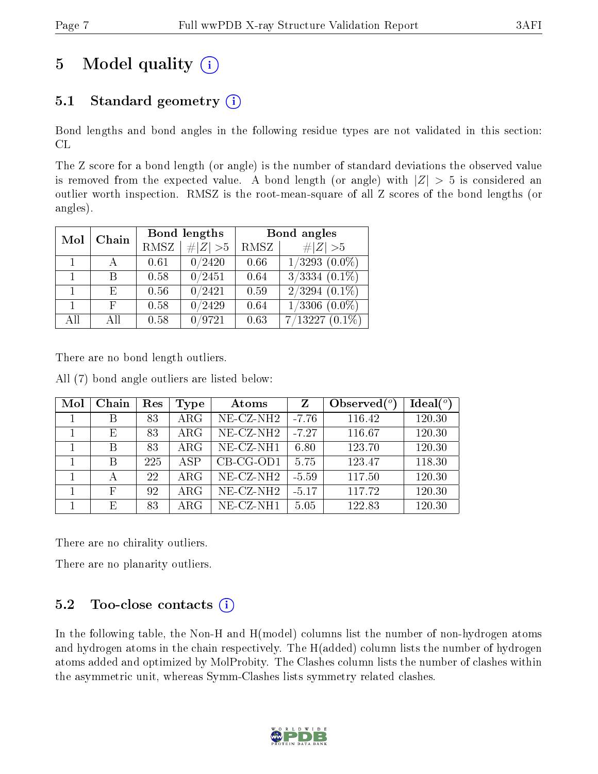# 5 Model quality  $(i)$

### 5.1 Standard geometry  $(i)$

Bond lengths and bond angles in the following residue types are not validated in this section: CL

The Z score for a bond length (or angle) is the number of standard deviations the observed value is removed from the expected value. A bond length (or angle) with  $|Z| > 5$  is considered an outlier worth inspection. RMSZ is the root-mean-square of all Z scores of the bond lengths (or angles).

| Mol | Chain |      | Bond lengths        | Bond angles |                               |  |
|-----|-------|------|---------------------|-------------|-------------------------------|--|
|     |       | RMSZ | $\# Z  > 5$         | RMSZ        | # $ Z >5$                     |  |
|     |       | 0.61 | 0/2420              | 0.66        | $1/3293$ $(0.0\%)$            |  |
|     | В     | 0.58 | $\overline{0}/2451$ | 0.64        | $\overline{3/3334}$ $(0.1\%)$ |  |
|     | E     | 0.56 | 0/2421              | 0.59        | $2/3294$ $(0.1\%)$            |  |
|     | F     | 0.58 | $\overline{0}/2429$ | 0.64        | $1/3306$ $(0.0\%)$            |  |
| All | A 11  | 0.58 | 0/9721              | 0.63        | $7/13227(0.1\%)$              |  |

There are no bond length outliers.

All (7) bond angle outliers are listed below:

| Mol | Chain | Res | Type       | Atoms                    | $\mathbf{Z}$ | Observed $(°)$ | Ideal $(°)$ |
|-----|-------|-----|------------|--------------------------|--------------|----------------|-------------|
|     | В     | 83  | $\rm{ARG}$ | $NE$ -CZ-NH <sub>2</sub> | $-7.76$      | 116.42         | 120.30      |
|     | Ε     | 83  | $\rm{ARG}$ | $NE$ -CZ-NH <sub>2</sub> | $-7.27$      | 116.67         | 120.30      |
|     | В     | 83  | $\rm{ARG}$ | NE-CZ-NH1                | 6.80         | 123.70         | 120.30      |
|     | B     | 225 | <b>ASP</b> | $CB-CG-OD1$              | 5.75         | 123.47         | 118.30      |
|     |       | 22  | $\rm{ARG}$ | NE-CZ-NH <sub>2</sub>    | $-5.59$      | 117.50         | 120.30      |
|     | F     | 92  | $\rm{ARG}$ | $NE$ -CZ-NH <sub>2</sub> | $-5.17$      | 117.72         | 120.30      |
|     | E     | 83  | $\rm{ARG}$ | $NE$ - $CZ$ - $NH1$      | 5.05         | 122.83         | 120.30      |

There are no chirality outliers.

There are no planarity outliers.

### $5.2$  Too-close contacts  $(i)$

In the following table, the Non-H and H(model) columns list the number of non-hydrogen atoms and hydrogen atoms in the chain respectively. The H(added) column lists the number of hydrogen atoms added and optimized by MolProbity. The Clashes column lists the number of clashes within the asymmetric unit, whereas Symm-Clashes lists symmetry related clashes.

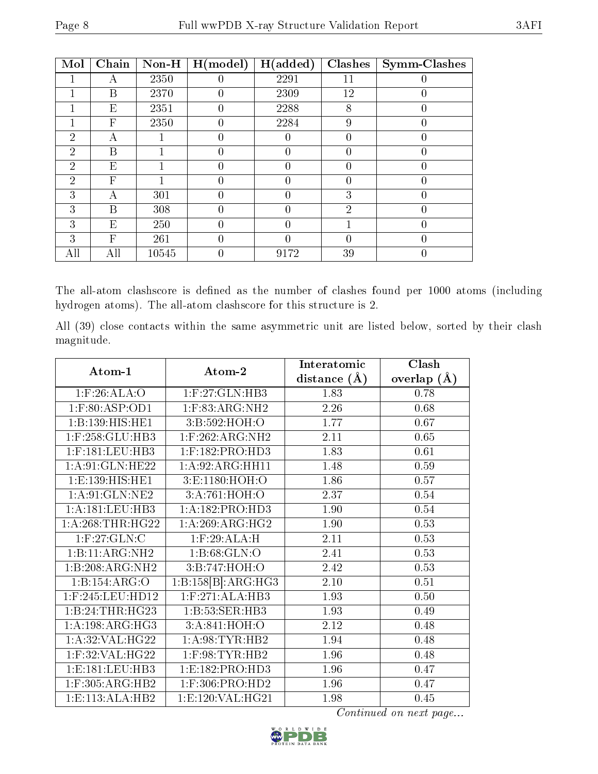| Mol            | Chain | $Non-H$ | H (model) | H(added) | Clashes        | Symm-Clashes |
|----------------|-------|---------|-----------|----------|----------------|--------------|
|                | А     | 2350    |           | 2291     | 11             | 0            |
|                | В     | 2370    | 0         | 2309     | 12             | 0            |
|                | E     | 2351    | 0         | 2288     | 8              |              |
|                | F     | 2350    | 0         | 2284     | 9              | 0            |
| $\overline{2}$ | А     |         | 0         | 0        | 0              | 0            |
| $\overline{2}$ | Β     |         |           | 0        |                |              |
| $\overline{2}$ | E     |         | 0         | 0        | 0              | 0            |
| $\overline{2}$ | F     |         | 0         | 0        | 0              | 0            |
| 3              | А     | 301     |           | 0        | 3              | 0            |
| 3              | В     | 308     | 0         | 0        | $\overline{2}$ | 0            |
| 3              | Е     | 250     |           |          |                | 0            |
| 3              | F     | 261     | 0         |          | 0              | $\theta$     |
| All            | All   | 10545   |           | 9172     | 39             |              |

The all-atom clashscore is defined as the number of clashes found per 1000 atoms (including hydrogen atoms). The all-atom clashscore for this structure is 2.

All (39) close contacts within the same asymmetric unit are listed below, sorted by their clash magnitude.

| Atom-1                | Atom-2                                                 | Interatomic    | Clash         |
|-----------------------|--------------------------------------------------------|----------------|---------------|
|                       |                                                        | distance $(A)$ | overlap $(A)$ |
| $1:$ F:26:ALA:O       | $1:$ F:27:GLN:HB3                                      | 1.83           | 0.78          |
| 1:F:80:ASP:OD1        | 1:F:83:ARG:NH2                                         | 2.26           | 0.68          |
| 1:B:139:HIS:HE1       | 3:B:592:HOH:O                                          | 1.77           | 0.67          |
| $1:$ F:258: $GLU:HB3$ | $1:$ F:262:ARG:NH2                                     | 2.11           | 0.65          |
| $1:$ F:181:LEU:HB3    | $1:$ F:182:PRO:HD3                                     | 1.83           | 0.61          |
| 1: A:91: GLN: HE22    | 1:A:92:ARG:HH11                                        | 1.48           | 0.59          |
| 1:E:139:HIS:HE1       | 3:E:1180:HOH:O                                         | 1.86           | 0.57          |
| 1: A:91: GLN: NE2     | 3:A:761:HOH:O                                          | 2.37           | 0.54          |
| 1: A: 181: LEU: HB3   | 1:A:182:PRO:H <sub>D3</sub>                            | 1.90           | 0.54          |
| 1: A:268:THR:HG22     | 1: A:269: ARG: HG2                                     | 1.90           | 0.53          |
| 1: F:27: GLN: C       | $1:$ F:29:ALA:H                                        | 2.11           | 0.53          |
| 1:B:11:ARG:NH2        | 1:B:68:GLN:O                                           | 2.41           | 0.53          |
| 1:B:208:ARG:NH2       | 3:B:747:HOH:O                                          | 2.42           | 0.53          |
| 1:B:154:ARG:O         | $1:B:158[\overline{B}]:\!\! \overline{\text{ARG:HG3}}$ | 2.10           | 0.51          |
| $1:$ F:245:LEU:HD12   | $1:$ F:271:ALA:HB3                                     | 1.93           | 0.50          |
| 1:B:24:THR:HG23       | 1:B:53:SER:HB3                                         | 1.93           | 0.49          |
| 1: A:198:ARG:HG3      | 3:A:841:HOH:O                                          | 2.12           | 0.48          |
| 1:A:32:VAL:HG22       | 1: A:98: TYR: HB2                                      | 1.94           | 0.48          |
| $1:$ F:32:VAL:HG22    | $1:$ F:98:TYR:HB2                                      | 1.96           | 0.48          |
| 1: E: 181: LEU: HB3   | 1: E: 182: PRO: HD3                                    | 1.96           | 0.47          |
| 1:F:305:ARG:HB2       | $1:$ F:306:PRO:HD2                                     | 1.96           | 0.47          |
| 1:E:113:ALA:HB2       | 1:E:120:VAL:HG21                                       | 1.98           | 0.45          |

Continued on next page...

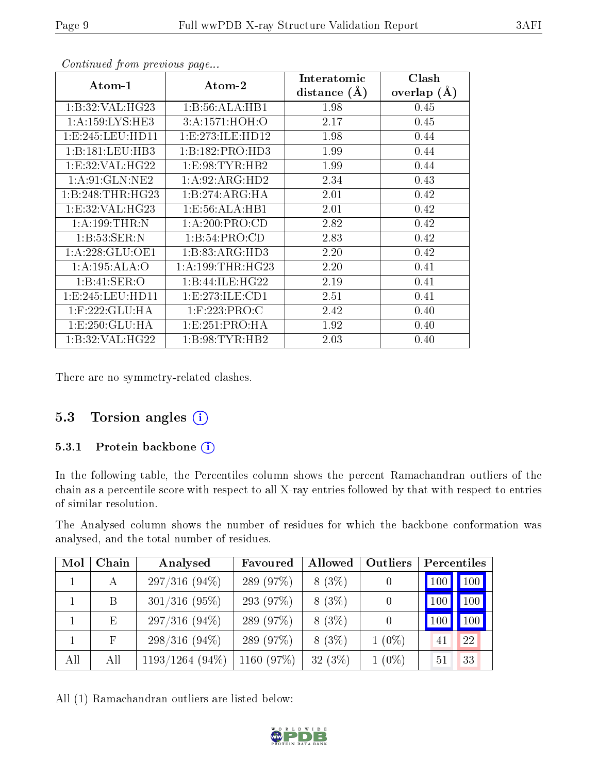| Atom-1              | Atom-2               | Interatomic<br>distance $(\AA)$ | Clash<br>overlap $(\AA)$ |
|---------------------|----------------------|---------------------------------|--------------------------|
| 1:B:32:VAL:HG23     | 1:B:56:ALA:HB1       | 1.98                            | 0.45                     |
| 1: A: 159: LYS: HE3 | 3:A:1571:HOH:O       | 2.17                            | 0.45                     |
| 1:E:245:LEU:HD11    | 1: E: 273: ILE: HD12 | 1.98                            | 0.44                     |
| 1:B:181:LEU:HB3     | 1:B:182:PRO:HD3      | 1.99                            | 0.44                     |
| 1:E:32:VAL:HG22     | 1: E:98: TYR: HB2    | 1.99                            | 0.44                     |
| 1: A:91: GLN:NE2    | 1: A:92: ARG:HD2     | 2.34                            | 0.43                     |
| 1:B:248:THR:HG23    | 1:B:274:ARG:HA       | 2.01                            | 0.42                     |
| 1:E:32:VAL:HG23     | 1: E: 56: ALA: HB1   | 2.01                            | 0.42                     |
| 1:A:199:THR:N       | 1: A:200:PRO:CD      | 2.82                            | 0.42                     |
| 1:B:53:SER:N        | 1: B:54: PRO:CD      | 2.83                            | 0.42                     |
| 1: A:228: GLU:OE1   | 1:B:83:ARG:HD3       | 2.20                            | 0.42                     |
| 1: A:195: ALA:O     | 1: A: 199: THR: HG23 | 2.20                            | 0.41                     |
| 1:B:41:SER:O        | 1:B:44:ILE:HG22      | 2.19                            | 0.41                     |
| 1:E:245:LEU:HD11    | 1: E: 273: ILE: CD1  | 2.51                            | 0.41                     |
| $1:$ F:222:GLU:HA   | $1:$ F:223:PRO:C     | 2.42                            | 0.40                     |
| 1: E: 250: GLU: HA  | 1:E:251:PRO:HA       | 1.92                            | 0.40                     |
| 1:B:32:VAL:HG22     | 1: B:98: TYR:HB2     | 2.03                            | 0.40                     |

Continued from previous page...

There are no symmetry-related clashes.

### 5.3 Torsion angles (i)

#### 5.3.1 Protein backbone (i)

In the following table, the Percentiles column shows the percent Ramachandran outliers of the chain as a percentile score with respect to all X-ray entries followed by that with respect to entries of similar resolution.

The Analysed column shows the number of residues for which the backbone conformation was analysed, and the total number of residues.

| Mol | Chain | Analysed          | Favoured   | Allowed  | Outliers | Percentiles |     |
|-----|-------|-------------------|------------|----------|----------|-------------|-----|
|     | А     | $297/316(94\%)$   | 289 (97%)  | $8(3\%)$ |          | 100         | 100 |
|     | B     | $301/316$ (95%)   | 293 (97%)  | $8(3\%)$ | 0        | 100         | 100 |
|     | E     | $297/316(94\%)$   | 289 (97%)  | $8(3\%)$ | 0        | 100         | 100 |
|     | F     | $298/316(94\%)$   | 289 (97%)  | $8(3\%)$ | $1(0\%)$ | 41          | 22  |
| All | All   | $1193/1264(94\%)$ | 1160 (97%) | 32(3%)   | $1(0\%)$ | 51          | 33  |

All (1) Ramachandran outliers are listed below:

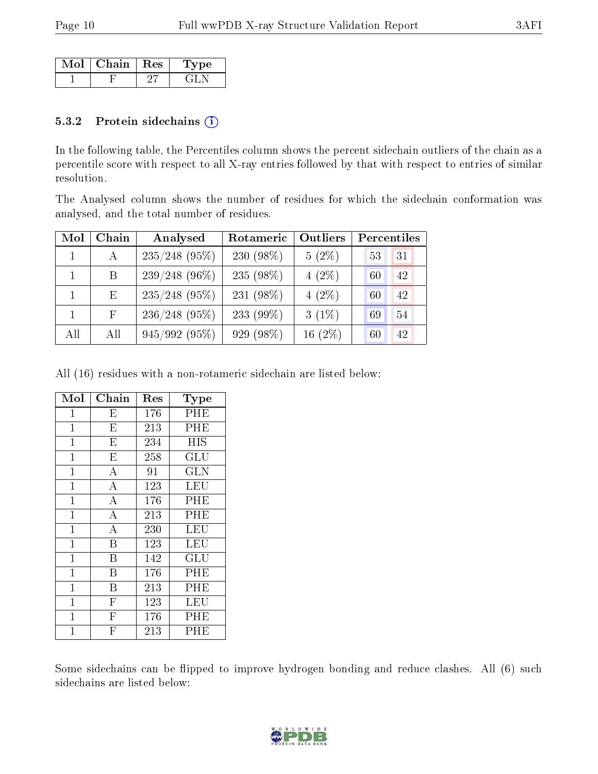| Mol | $\mid$ Chain $\mid$ Res | me. |
|-----|-------------------------|-----|
|     |                         |     |

#### 5.3.2 Protein sidechains (i)

In the following table, the Percentiles column shows the percent sidechain outliers of the chain as a percentile score with respect to all X-ray entries followed by that with respect to entries of similar resolution.

The Analysed column shows the number of residues for which the sidechain conformation was analysed, and the total number of residues.

| Mol | Chain | Analysed        | Rotameric    | Outliers  | Percentiles |
|-----|-------|-----------------|--------------|-----------|-------------|
|     | A     | $235/248$ (95%) | 230 (98%)    | $5(2\%)$  | 31<br>53    |
|     | B     | $239/248(96\%)$ | 235 (98%)    | $4(2\%)$  | 42<br>60    |
|     | Ε     | $235/248$ (95%) | 231 (98%)    | $4(2\%)$  | 42<br>60    |
|     | F.    | $236/248$ (95%) | 233 $(99\%)$ | $3(1\%)$  | 54<br>69    |
| All | All   | 945/992(95%)    | 929 (98%)    | $16(2\%)$ | 42<br>60    |

All (16) residues with a non-rotameric sidechain are listed below:

| Mol            | Chain                   | Res | Type       |
|----------------|-------------------------|-----|------------|
| 1              | $\mathbf{E}$            | 176 | PHE        |
| $\mathbf{1}$   | $\overline{\mathrm{E}}$ | 213 | PHE        |
| $\mathbf 1$    | $\overline{\mathrm{E}}$ | 234 | HIS        |
| $\mathbf 1$    | $\overline{\mathrm{E}}$ | 258 | GLU        |
| $\mathbf 1$    | $\overline{A}$          | 91  | <b>GLN</b> |
| $\overline{1}$ | $\overline{\rm A}$      | 123 | <b>LEU</b> |
| 1              | $\overline{\rm A}$      | 176 | PHE        |
| $\mathbf 1$    | $\overline{\rm A}$      | 213 | PHE        |
| $\overline{1}$ | $\overline{\rm A}$      | 230 | LEU        |
| $\mathbf{1}$   | B                       | 123 | LEU        |
| $\mathbf{1}$   | B                       | 142 | GLU        |
| $\overline{1}$ | В                       | 176 | PHE        |
| $\mathbf 1$    | B                       | 213 | PHE        |
| $\mathbf{1}$   | $\overline{\mathrm{F}}$ | 123 | LEU        |
| $\mathbf{1}$   | $\overline{F}$          | 176 | PHE        |
| $\overline{1}$ | $\overline{\mathrm{F}}$ | 213 | PHE        |

Some sidechains can be flipped to improve hydrogen bonding and reduce clashes. All (6) such sidechains are listed below:

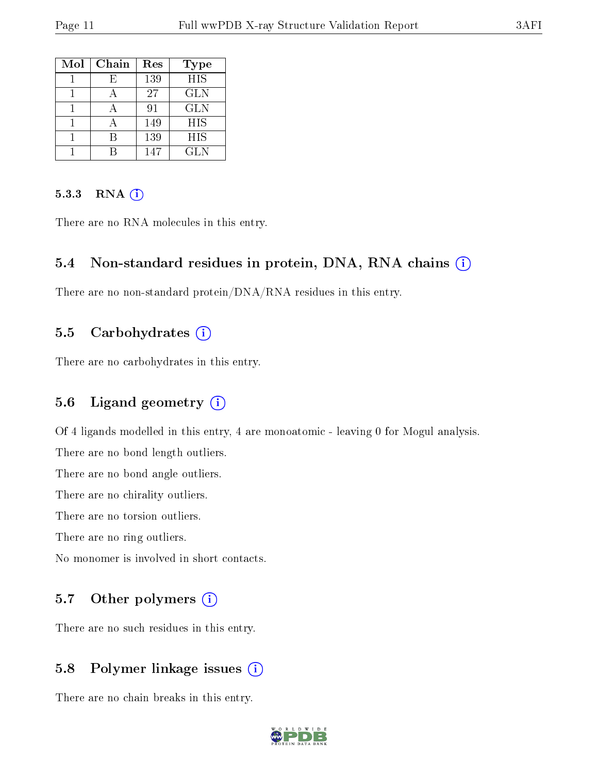| Mol | Chain | Res | <b>Type</b> |
|-----|-------|-----|-------------|
|     | F)    | 139 | <b>HIS</b>  |
|     |       | 27  | <b>GLN</b>  |
|     |       | 91  | <b>GLN</b>  |
|     |       | 149 | <b>HIS</b>  |
|     |       | 139 | HIS         |
|     |       | 147 | GLN         |

#### 5.3.3 RNA (i)

There are no RNA molecules in this entry.

#### 5.4 Non-standard residues in protein, DNA, RNA chains (i)

There are no non-standard protein/DNA/RNA residues in this entry.

#### 5.5 Carbohydrates (i)

There are no carbohydrates in this entry.

#### 5.6 Ligand geometry (i)

Of 4 ligands modelled in this entry, 4 are monoatomic - leaving 0 for Mogul analysis. There are no bond length outliers. There are no bond angle outliers. There are no chirality outliers. There are no torsion outliers. There are no ring outliers. No monomer is involved in short contacts.

#### 5.7 [O](https://www.wwpdb.org/validation/2017/XrayValidationReportHelp#nonstandard_residues_and_ligands)ther polymers (i)

There are no such residues in this entry.

#### 5.8 Polymer linkage issues (i)

There are no chain breaks in this entry.

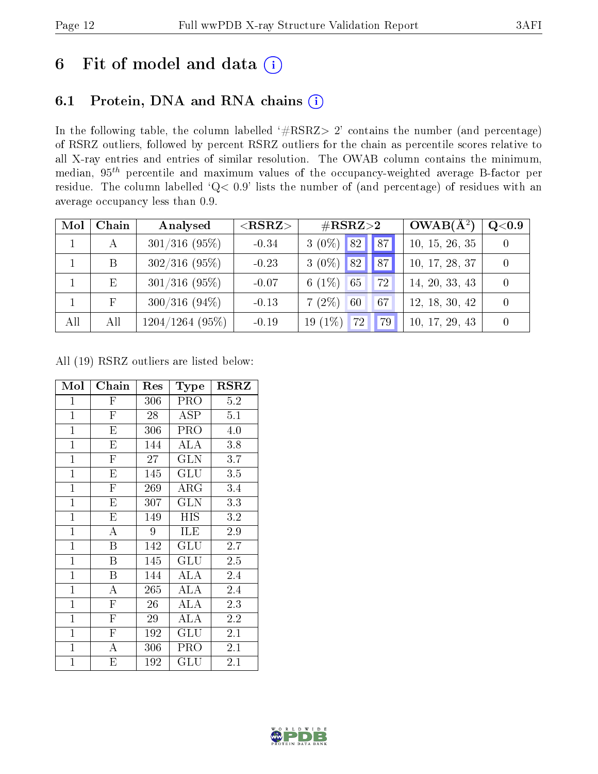## 6 Fit of model and data  $(i)$

### 6.1 Protein, DNA and RNA chains  $(i)$

In the following table, the column labelled  $#RSRZ> 2'$  contains the number (and percentage) of RSRZ outliers, followed by percent RSRZ outliers for the chain as percentile scores relative to all X-ray entries and entries of similar resolution. The OWAB column contains the minimum, median,  $95<sup>th</sup>$  percentile and maximum values of the occupancy-weighted average B-factor per residue. The column labelled ' $Q< 0.9$ ' lists the number of (and percentage) of residues with an average occupancy less than 0.9.

| Mol | Chain | Analysed        | ${ <\hspace{-1.5pt}{\mathrm{RSRZ}} \hspace{-1.5pt}>}$ | $\#\text{RSRZ}\text{>2}$       | $OWAB(A^2)$    | $\rm Q\textcolor{black}{<}0.9$ |
|-----|-------|-----------------|-------------------------------------------------------|--------------------------------|----------------|--------------------------------|
|     |       | $301/316$ (95%) | $-0.34$                                               | $3(0\%)$ 82<br>87 <sub>1</sub> | 10, 15, 26, 35 |                                |
|     | B     | $302/316$ (95%) | $-0.23$                                               | $3(0\%)$ 82<br>87              | 10, 17, 28, 37 |                                |
|     | Ε     | $301/316$ (95%) | $-0.07$                                               | 6 $(1\%)$<br>65<br>72          | 14, 20, 33, 43 |                                |
|     |       | $300/316(94\%)$ | $-0.13$                                               | $7(2\%)$<br>60<br>67           | 12, 18, 30, 42 |                                |
| All | All   | 1204/1264(95%)  | $-0.19$                                               | 19 $(1%)$<br>72<br>79          | 10, 17, 29, 43 |                                |

All (19) RSRZ outliers are listed below:

| Mol            | ${\bf Chain}$           | Res | Type                 | $_{\rm RSRZ}$ |
|----------------|-------------------------|-----|----------------------|---------------|
| $\mathbf{1}$   | $\mathbf F$             | 306 | PRO                  | 5.2           |
| $\mathbf{1}$   | $\overline{\mathrm{F}}$ | 28  | ASP                  | 5.1           |
| $\mathbf{1}$   | E                       | 306 | PRO                  | 4.0           |
| $\mathbf{1}$   | E                       | 144 | ALA                  | 3.8           |
| $\overline{1}$ | $\overline{\mathrm{F}}$ | 27  | <b>GLN</b>           | 3.7           |
| $\mathbf{1}$   | E                       | 145 | GLU                  | $3.5\,$       |
| $\mathbf{1}$   | $\overline{\mathrm{F}}$ | 269 | ${\rm ARG}$          | 3.4           |
| $\mathbf{1}$   | E                       | 307 | GLN                  | 3.3           |
| $\mathbf{1}$   | E                       | 149 | HIS                  | 3.2           |
| $\mathbf{1}$   | A                       | 9   | ILE                  | 2.9           |
| $\mathbf{1}$   | B                       | 142 | $\operatorname{GLU}$ | 2.7           |
| $\overline{1}$ | B                       | 145 | GLU                  | 2.5           |
| $\mathbf{1}$   | B                       | 144 | ALA                  | 2.4           |
| $\mathbf{1}$   | $\mathbf{A}$            | 265 | ALA                  | 2.4           |
| $\mathbf{1}$   | $\overline{F}$          | 26  | ALA                  | 2.3           |
| $\mathbf{1}$   | $\mathbf F$             | 29  | ALA                  | 2.2           |
| $\mathbf{1}$   | $\overline{\mathrm{F}}$ | 192 | $\operatorname{GLU}$ | 2.1           |
| $\mathbf{1}$   | А                       | 306 | PRO                  | 2.1           |
| $\mathbf 1$    | Ε                       | 192 | $\operatorname{GLU}$ | $2.1\,$       |